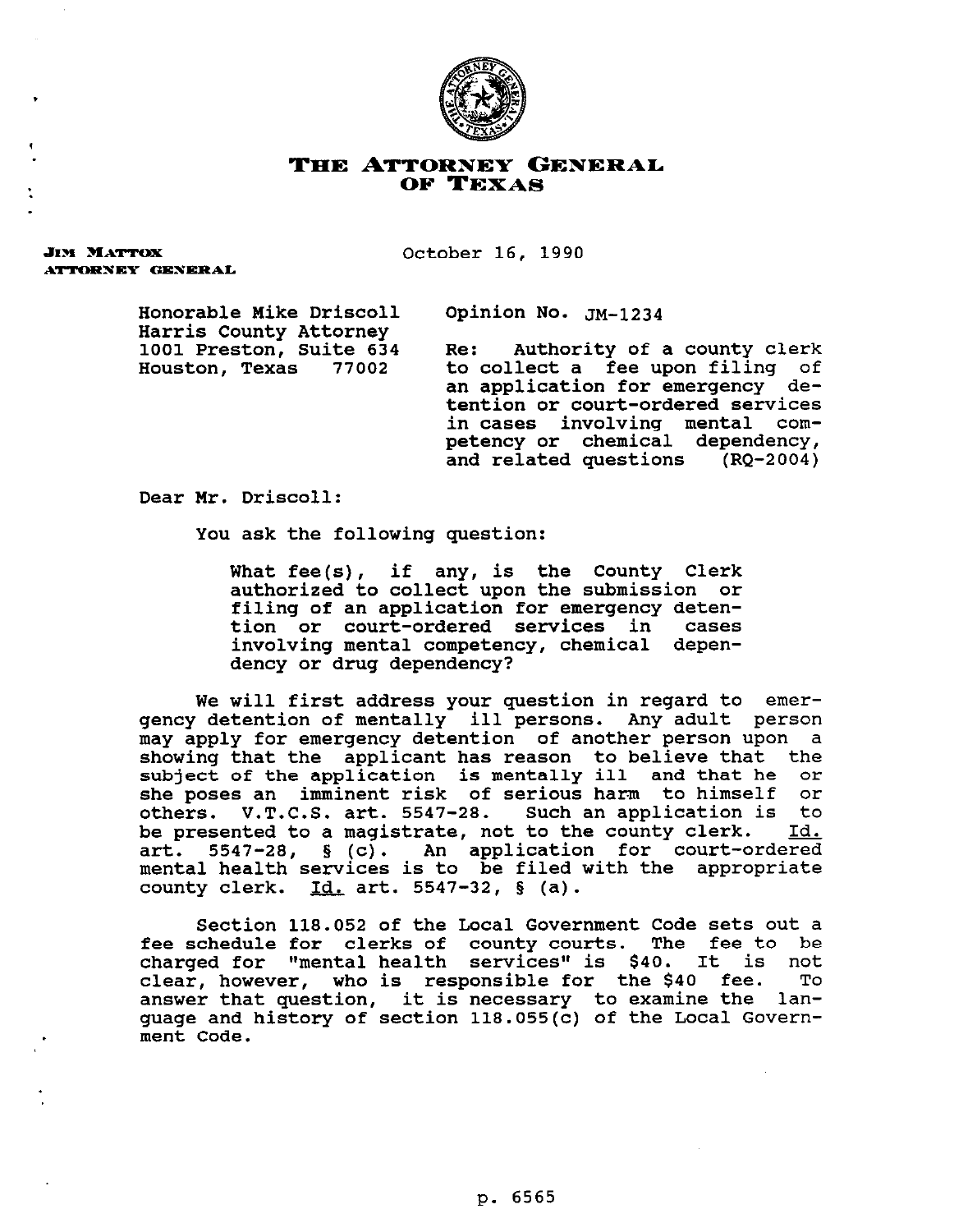

## THE ATTORNEY GENERAL OF TEXAS

**JIM MATTOX** ATTORNEY GENERAL

.

**October 16, 1990** 

Honorable Mike Driscoll Opinion No. **JM-1234 Harris County Attorney** 

**1001 Preston, Suite 634 Re: Authority of a county clerk**  to collect a fee upon filing of **an application for emergency detention or court-ordered services in cases involving mental competency or chemical dependency, and related questions (RQ-2004)** 

**Dear Mr. Driscoll:** 

**You ask the following question:** 

**What fee(s), if any, is the County Clerk authorized to collect upon the submission or filing of an application for emergency deten**tion or court-ordered services in **involving mental competency, chemical dependency or drug dependency?** 

**We will first address your question in regard to emergency detention of mentally ill persons. Any adult person may apply for emergency detention of another person upon a showing that the applicant has reason to believe that the subject of the application is mentally ill and that he or she poses an imminent risk of serious harm to himself or others. V.T.C.S. art. 5547-28. Such an application is to be presented to a magistrate, not to the county clerk. Id.**  art. 5547-28, § (c). An application for court-ordered **mental health services is to be filed with the appropriate county clerk. Id. art. 5547-32, 5 (a).** 

**Section 118.052 of the Local Government Code sets out a fee schedule for clerks of county courts. The fee to be charged for "mental health services" is \$40. It is not clear, however, who is responsible for the \$40 fee. To answer that question, it is necessary to examine the language and history of section 118.055(c) of the Local Government Code.**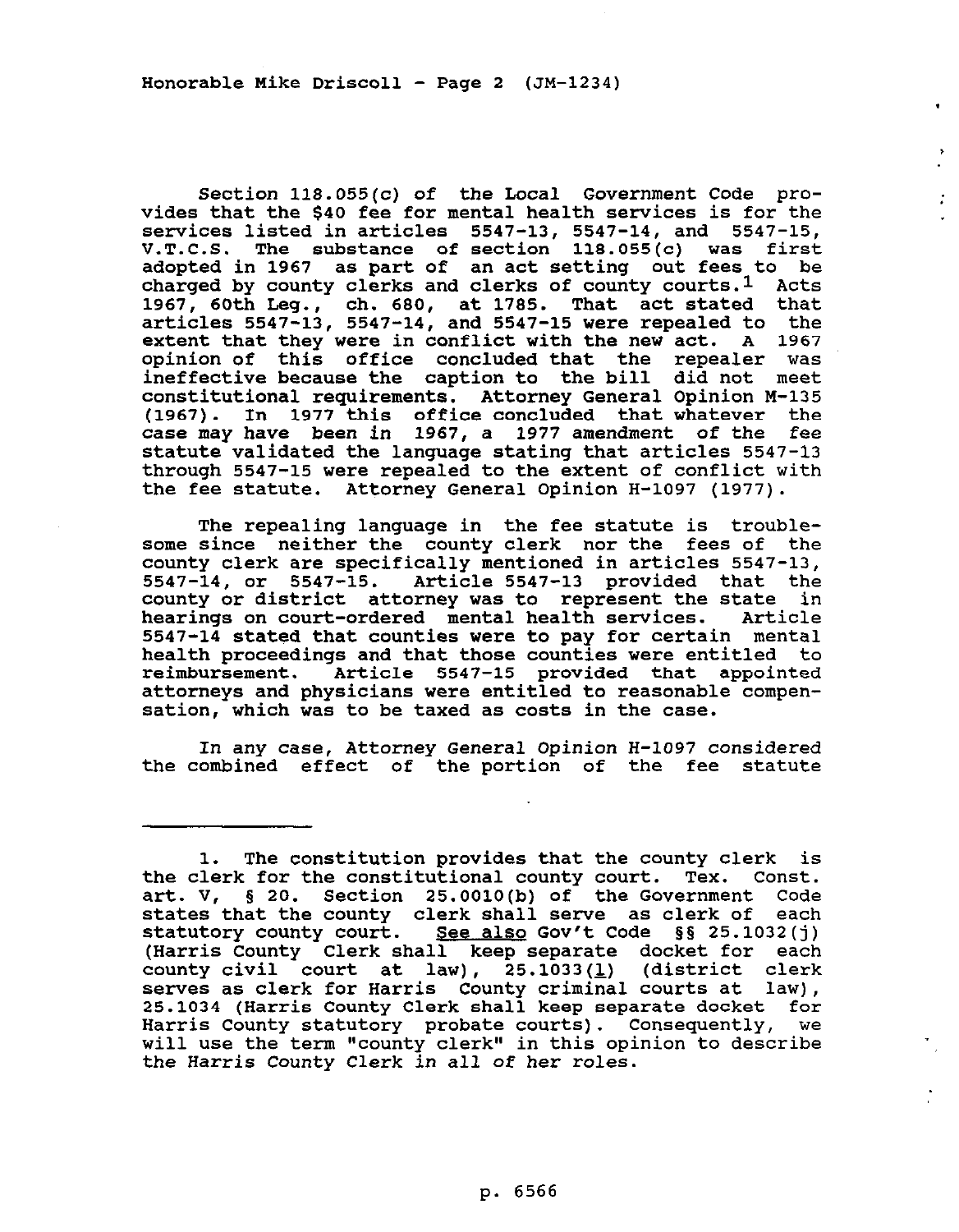**Honorable Mike Driscoll - Page 2 (JM-1234)** 

**Section 118.055(c) of the Local Government Code provides that the \$40 fee for mental health services is for the services listed in articles 5547-13, 5547-14, and 5547-15, V.T.C.S. The substance of section 118.055(c) was first adopted in 1967 as part of an act setting out fees to be charged by county clerks and clerks of county courts.1 Acts 1967, 60th Leg., ch. 600, at 1785. That act stated that articles 5547-13, 5547-14, and 5547-15 were repealed to the extent that they were in conflict with the new act. A 1967 opinion of this office concluded that the repealer was ineffective because the caption to the bill did not meet constitutional requirements. Attorney General Opinion M-135**  1977 this office concluded that whatever the **case may have been in 1967, a 1977 amendment of the fee statute validated the language stating that articles 5547-13 through 5547-15 were repealed to the extent of conflict with the fee statute. Attorney General Opinion H-1097 (1977).** 

 $\mathcal{I}^{\pm}$ 

**The repealing language in the fee statute is troublesome since neither the county clerk nor the fees of the county clerk are specifically mentioned in articles 5547-13, 5547-14, or 5547-15. Article 5547-13 provided that the county or district attorney was to represent the state in**  hearings on court-ordered mental health services. **5547-14 stated that counties were to pay for certain mental health proceedings and that those counties were entitled to reimbursement. Article 5547-15 provided that appointed attorneys and physicians were entitled to reasonable compensation, which was to be taxed as costs in the case.** 

**In any case, Attorney General Opinion H-1097 considered the combined effect of the portion of the fee statute** 

**<sup>1.</sup> The constitution provides that the county clerk is the clerk for the constitutional county court. Tex. Const. art. V, 5 20. Section 25.0010(b) of the Government Code states that the county clerk shall serve as clerk of each statutory county court. See also Gov't Code gg 25.1032(j) (Harris County Clerk shall keep separate docket for each county civil court at law), 25.1033(l) (district clerk serves as clerk for Harris County criminal courts at law), 25.1034 (Harris County Clerk shall keep separate docket for Harris County statutory probate courts). Consequently, we will use the term "county clerk" in this opinion to describe the Harris County Clerk** *in* **all of her roles.**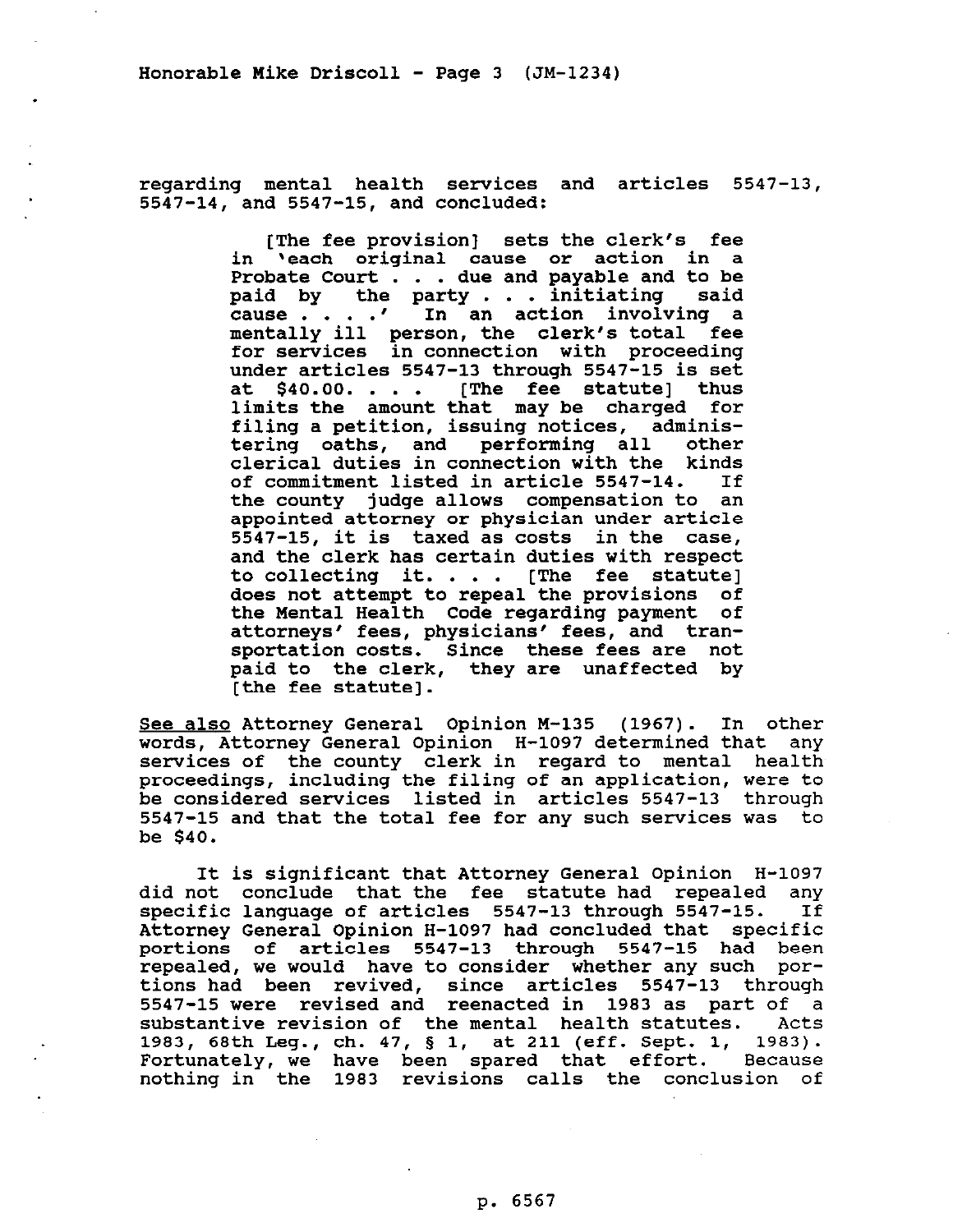**regarding mental health services and articles 5547-13, 5547-14, and 5547-15, and concluded:** 

> **[The fee provision] sets the clerk's fee in 'each original cause or action in a Probate Court . . . due and payable and to be paid by the party . . . initiating said cause . . . .I In an action involving a mentally ill person, the clerk's total fee for services in connection with proceeding under articles 5547-13 through 5547-15 is set at \$40.00. . . . [The fee statute] thus limits the amount that may be charged for filing a petition, issuing notices, administering oaths, and performing all other clerical duties in connection with the kinds of commitment listed in article 5547-14. If the county judge allows compensation to an appointed attorney or physician under article 5547-15, it is taxed as costs in the case, and the clerk has certain duties with respect to collecting it. . . . [The fee statute] does not attempt to repeal the provisions of the Mental Health Code regarding payment of attorneys\* fees, physicians' fees, and transportation costs. Since these fees are not paid to the clerk, they are unaffected by [the fee statute].**

**See also Attorney General Opinion M-135 (1967). In other words, Attorney General Opinion H-1097 determined that any services of the county clerk in regard to mental health proceedings, including the filing of an application, were to be considered services listed in articles 5547-13 through 5547-15 and that the total fee for any such services was to be \$40.** 

**It is significant that Attorney General Opinion H-1097 did not conclude that the fee statute had repealed any specific language of articles 5547-13 through 5547-15. If Attorney General Opinion H-1097 had concluded that specific portions of articles 5547-13 through 5547-15 had been repealed, we would have to consider whether any such portions had been revived, since articles 5547-13 through 5547-15 were revised and reenacted in 1983 as part of a substantive revision of the mental health statutes. Acts 1983, 68th Leg., ch. 47, § 1, at 211 (eff. Sept. 1, 1983). Fortunately, we have been spared that effort. Because nothing in the 1983 revisions calls the conclusion of**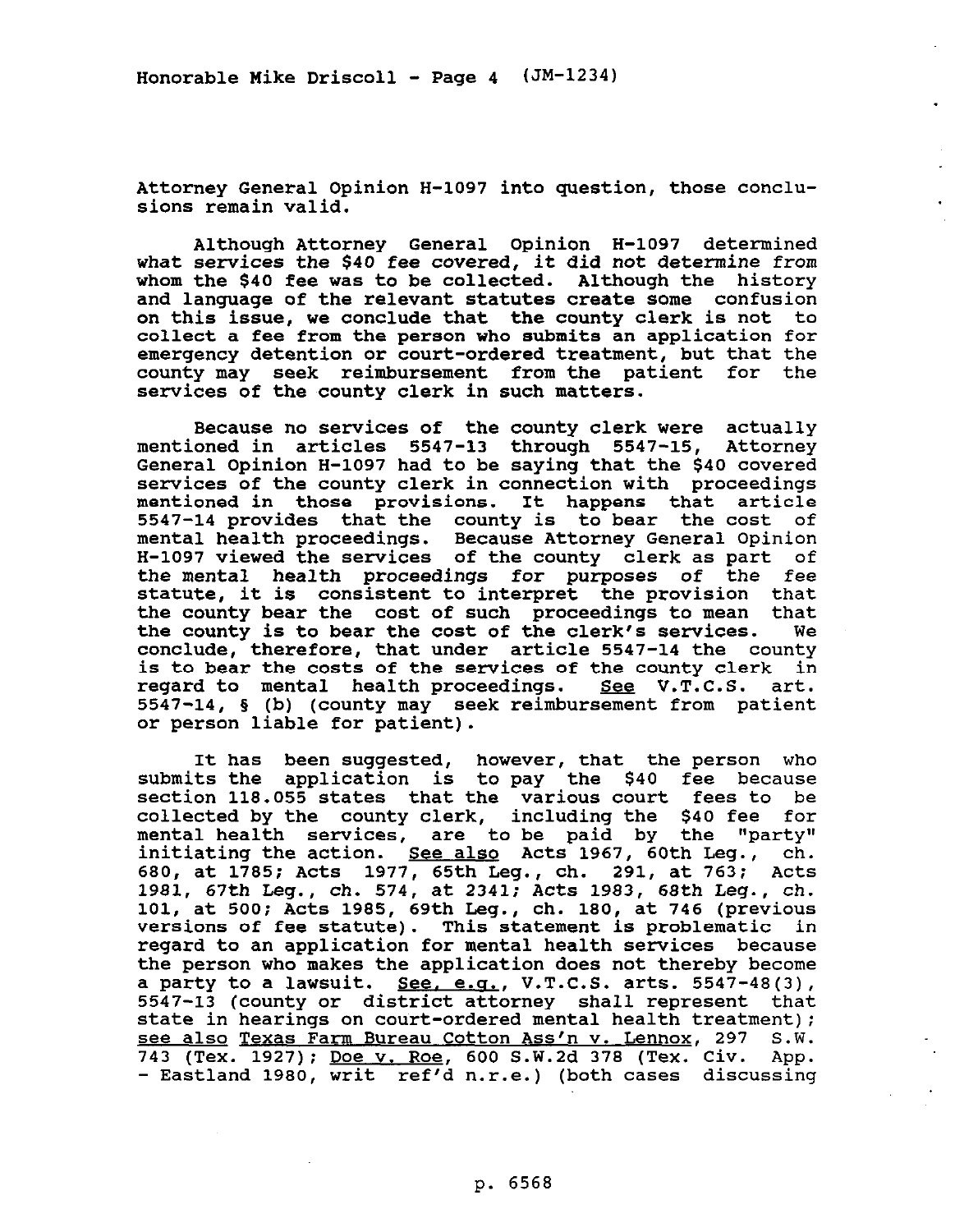**Honorable Mike Driscoll - Page 4 (JM-1234)** 

**Attorney General Opinion H-1097 into question, those conclusions remain valid.** 

**Although Attorney General Opinion H-1097 determined what services the \$40 fee covered, it did not determine from whom the \$40 fee was to be collected. Although the history and language of the relevant statutes create some confusion on this issue, we conclude that the county clerk is not to collect a fee from the person who submits an application for emergency detention or court-ordered treatment, but that the county may seek reimbursement from the patient for the**  services of the county clerk in such matters.

**Because no services of the county clerk were actually mentioned in articles 5547-13 through 5547-15, Attorney General Opinion H-1097 had to be saying that the \$40 covered services of the county clerk in connection with proceedings mentioned in those provisions. It happens that article 5547-14 provides that the county is to bear the cost of mental health proceedings. Because Attorney General Opinion H-1097 viewed the services of the county clerk as part of the mental health proceedings for purposes of the fee statute, it is consistent to interpret the provision that the county bear the cost of such proceedings to mean that**  the county is to bear the cost of the clerk's services. **conclude, therefore, that under article 5547-14 the county is to bear the costs of the services of the county clerk in**  regard to mental health proceedings. See V.T.C.S. art. **5547-14, 5 (b) (county may seek reimbursement from patient or person liable for patient).** 

**It has been suggested, however, that the person who submits the application is to pay the \$40 fee because section 118.055 states that the various court fees to be collected by the county clerk, including the \$40 fee for**  mental health services, are to be paid by the "party" **initiating the action. See also Acts 1967, 60th Leg., ch. 680, at 1785; Acts 1977, 65th Leg., ch. 291, at 763; Acts 1981, 67th Leg., ch. 574, at 2341; Acts 1983, 68th Leg., ch. 101, at 500; Acts 1985, 69th Leg., ch. 180, at 746 (previous versions of fee statute). This statement is problematic in regard to an application for mental health services because the person who makes the application does not thereby become a party to a lawsuit.** See, e.g., V.T.C.S. arts. 5547-48(3), **5547-13 (county or district attorney shall represent that state in hearings on court-ordered mental health treatment): see also Texas Farm Bureau Cotton Ass'n v. Lennox, 297 S.W. 743 (Tex. 1927): Doe v. Roe, 600 S.W.2d 378 (Tex. Civ. APP. - Eastland 1980, writ ref'd n.r.e.) (both cases discussing**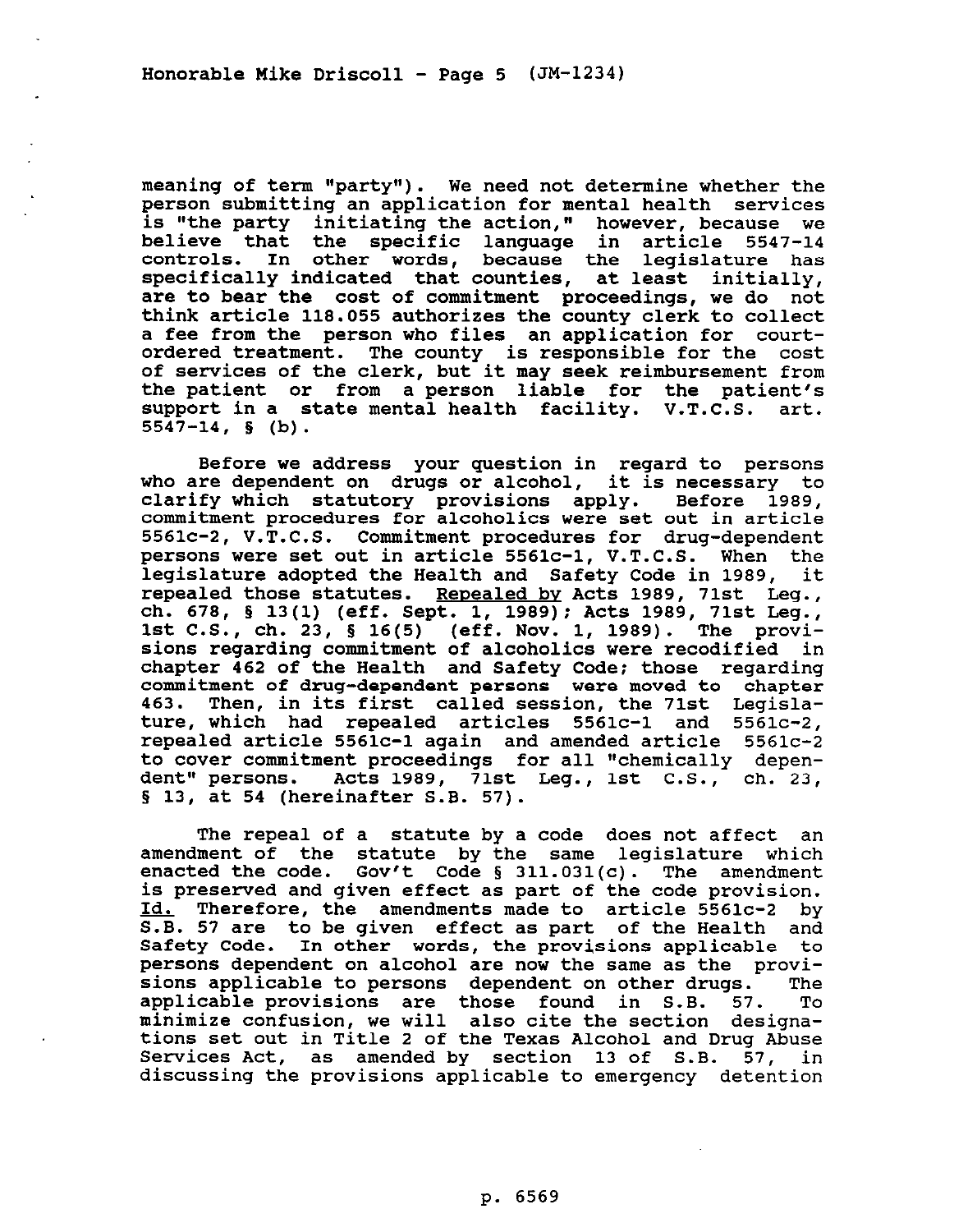**meaning of term l\*party\*'). We need not determine whether the person submitting an application for mental health services is "the party initiating the action," however, because we believe that the specific language in article 5547-14 controls. In other words, because the legislature has specifically indicated that counties, at least initially, are to bear the cost of commitment proceedings, we do not think article 118.055 authorizes the county clerk to collect a fee from the person who files an application for courtordered treatment. The county is responsible for the cost of services of the clerk, but it may seek reimbursement from the patient or from a person liable for the patient's support in a state mental health facility. V.T.C.S. art. 5547-14, 5 (b).** 

**Before we address your question in regard to persons who are dependent** *on* **drugs or alcohol, it is necessary to clarify which statutory provisions apply. Before 1989, commitment procedures for alcoholics were set out in article 5561c-2, V.T.C.S. Commitment procedures for drug-dependent persons were set out in article 5561c-1, V.T.C.S. When the legislature adopted the Health and Safety Code in 1989, it repealed those statutes. Renealed by Acts 1989, 71st Leg., ch. 678, § 13(l) (eff. Sept. 1, 1989); Acts 1989, 71st Leg., 1st C.S., ch. 23, 5 16(5) (eff. Nov. 1, 1989). The provisions regarding commitment of alcoholics were recodified in chapter 462 of the Health and Safety Code: those regarding commitment of drug-dependent persons were moved to chapter 463. Then, in its first called session, the 71st Legislature, which had repealed articles 5561c-1 and 5561c-2, repealed article 5561c-1 again and amended article 5561c-2 to cover commitment proceedings for all "chemically depen-**Acts 1989, 71st Leg., 1st C.S., ch. 23, **§ 13, at 54 (hereinafter S.B. 57).** 

**The repeal of a statute by a code does not affect an amendment of the statute by the same legislature which enacted the code. Gov't Code 5 311.031(c). The amendment is preserved and given effect as part of the code provision. Id. Therefore, the amendments made to article 5561c-2 by S.B. 57 are to be given effect as part of the Health and Safety Code. In other words, the provisions applicable to persons dependent on alcohol are now the same as the provisions applicable to persons dependent on other drugs. The**  applicable provisions are those found in S.B. 57. **minimize confusion, we will also cite the section designations set out in Title 2 of the Texas Alcohol and Drug Abuse Services Act, as amended by section 13 of S.B. 57, in discussing the provisions applicable to emergency detention**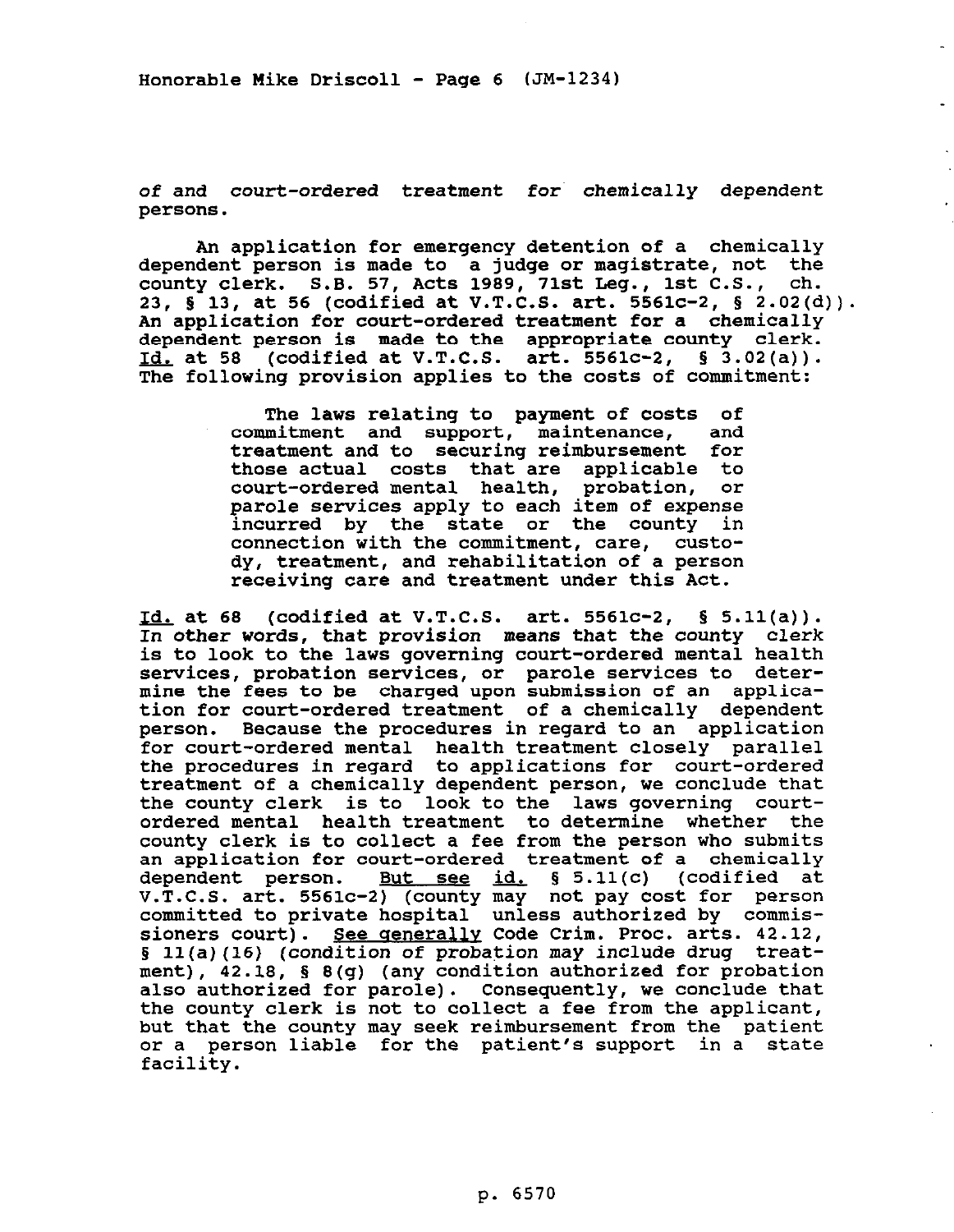**Honorable Mike Driscoll - Page 6 (JM-1234)** 

**of and court-ordered treatment for chemically dependent persons.** 

**An application for emergency detention of a chemically dependent person is made to a judge or magistrate, not the county clerk. S.B. 57, Acts 1989, 71st Deg., 1st C.S., ch. 23, 5 13, at 56 (codified at V.T.C.S. art. 5561c-2, 5 2.02(d)). An application for court-ordered treatment for a chemically dependent person is made to the appropriate county clerk. Id. at 58 (codified at V.T.C.S. art. 5561c-2, § 3.02(a)). The following provision applies to the costs of commitment:** 

> **The laws relating to payment of costs of commitment and support, maintenance, and treatment and to securing reimbursement for those actual costs that are applicable to**  court-ordered mental health, probation, **parole services apply to each item of expense incurred by the state or the county in connection with the commitment, care, custody, treatment, and rehabilitation of a person receiving care and treatment under this Act.**

**Id. at 68** (codified at V.T.C.S. art. 5561c-2, § 5.11(a)). **In other words, that provision means that the county clerk is to look to the laws governing court-ordered mental health services, probation services, or parole services to determine the fees to be charged upon submission of an application for court-ordered treatment of a chemically dependent person. Because the procedures in regard to an application for court-ordered mental health treatment closely parallel the procedures in regard to applications for court-ordered treatment of a chemically dependent person, we conclude that the county clerk is to look to the laws governing courtordered mental health treatment to determine whether the county clerk is to collect a fee from the person who submits an application for court-ordered treatment of a chemically dependent person. But see id. 5 5.11(c) (codified at V.T.C.S. art. 5561c-2) (county may not pay cost for person committed to private hospital unless authorized by commis**sioners court). See generally Code Crim. Proc. arts. 42.12, § 11(a)(16) (condition of probation may include drug treat**ment), 42.18, § 8(g) (any condition authorized for probation also authorized for parole). Consequently, we conclude that the county clerk is not to collect a fee from the applicant, but that the county may seek reimbursement from the patient or a person liable for the patient's support in a state facility.**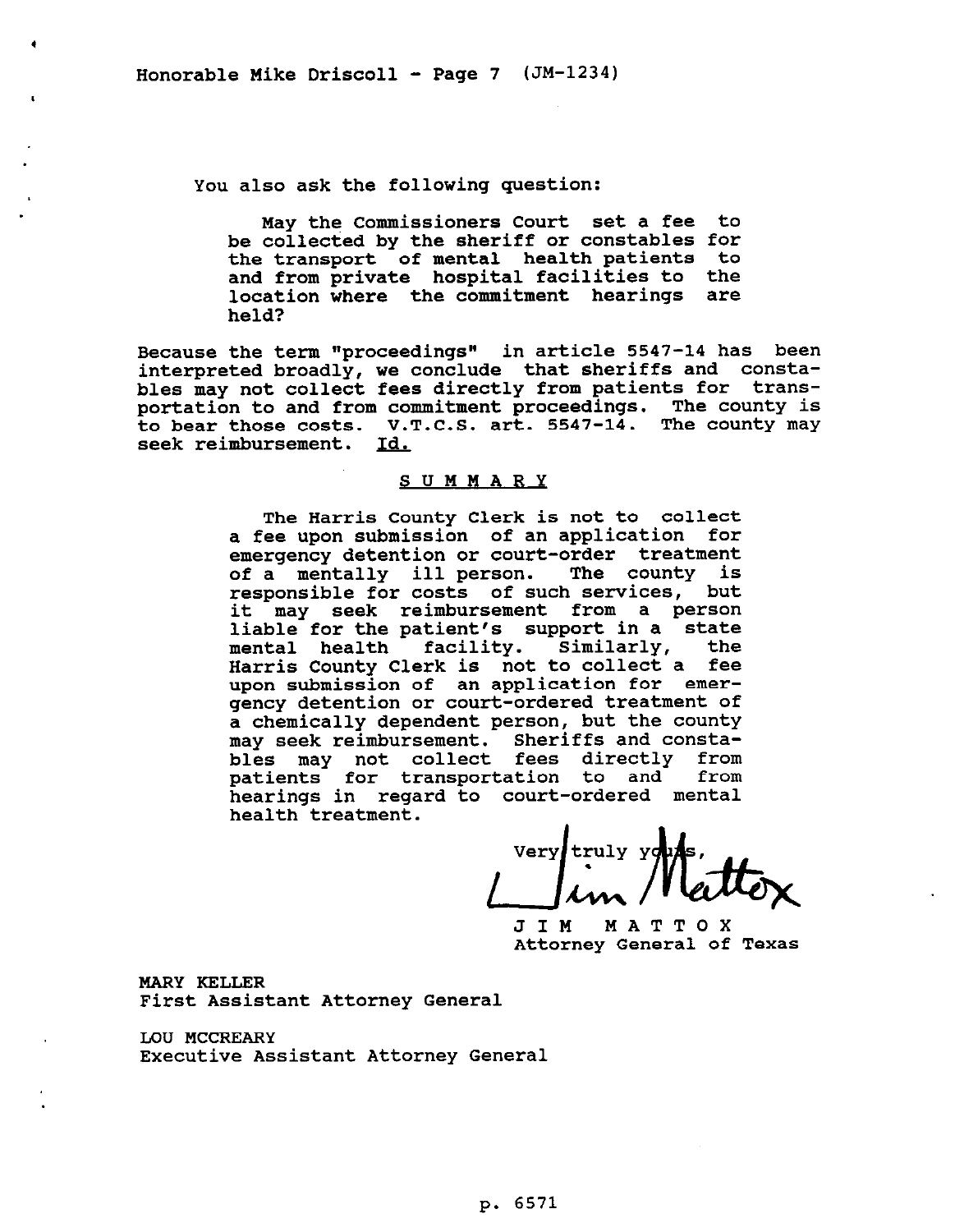$\bullet$ 

**You also ask the following question:** 

**May the Commissioners Court set a fee to be collected by the sheriff or constables for the transport of mental health patients to and from private hospital facilities to the location where the commitment hearings are held?** 

**Because the term "proceedings" in article 5547-14 has been interpreted broadly, we conclude that sheriffs and constables may not collect fees directly from patients for transportation to and from commitment proceedings. The county is to bear those costs. V.T.C.S. art. 5547-14. The county may**  seek reimbursement.

## **SUMMARY**

**The Harris County Clerk is not to collect a fee upon submission of an application for emergency detention or court-order treatment of a mentally ill person. The county is responsible for costs of such services, but it may seek reimbursement from a person liable for the patient's support in a state mental health facility. Similarly, the Harris County Clerk is not to collect a fee upon submission of an application for emergency detention or court-ordered treatment of a chemically dependent person, but the county may seek reimbursement. Sheriffs and constables may not collect fees directly from**  patients for transportation to and **hearings in regard to court-ordered mental health treatment.** 

Very truly y outs,

**Attorney General of Texas** 

**MARY KELLER First Assistant Attorney General** 

**LOU MCCREARY Executive Assistant Attorney General**